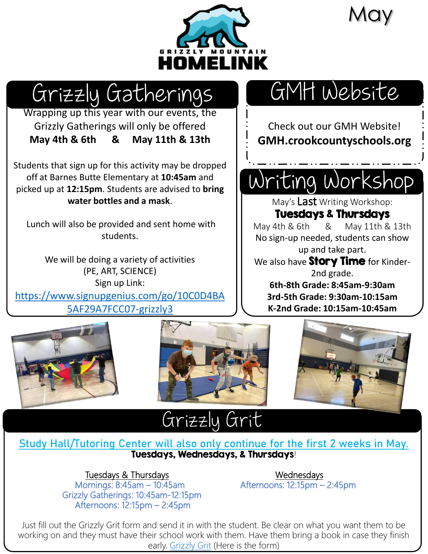

**May** 

## Grizzly Gatherings

Wrapping up this year with our events, the Grizzly Gatherings will only be offered **May 4th & 6th & May 11th & 13th**

Students that sign up for this activity may be dropped off at Barnes Butte Elementary at **10:45am** and picked up at **12:15pm**. Students are advised to **bring water bottles and a mask**.

Lunch will also be provided and sent home with students.

We will be doing a variety of activities (PE, ART, SCIENCE) Sign up Link: [https://www.signupgenius.com/go/10C0D4BA](https://www.signupgenius.com/go/10C0D4BA5AF29A7FCC07-grizzly3) 5AF29A7FCC07-grizzly3

# GMH Website

Check out our GMH Website! **GMH.crookcountyschools.org**

## Writing Workshop

May's Last Writing Workshop:

#### Tuesdays & Thursdays

May 4th & 6th & May 11th & 13th No sign-up needed, students can show up and take part.

We also have **Story Time** for Kinder-2nd grade.

**6th-8th Grade: 8:45am-9:30am 3rd-5th Grade: 9:30am-10:15am K-2nd Grade: 10:15am-10:45am**







### Grizzly Grit

#### **Study Hall/Tutoring Center will also only continue for the first 2 weeks in May.** Tuesdays, Wednesdays, & Thursdays!

#### Tuesdays & Thursdays Management Controller Mednesdays

Mornings: 8:45am – 10:45am **Afternoons: 12:15pm – 2:45pm** Grizzly Gatherings: 10:45am-12:15pm Afternoons: 12:15pm – 2:45pm

Just fill out the Grizzly Grit form and send it in with the student. Be clear on what you want them to be working on and they must have their school work with them. Have them bring a book in case they finish early. [Grizzly Grit](https://drive.google.com/file/d/1HOuFfhFJ8IZsl_phQPbqO09WWM-NGtjp/view) (Here is the form)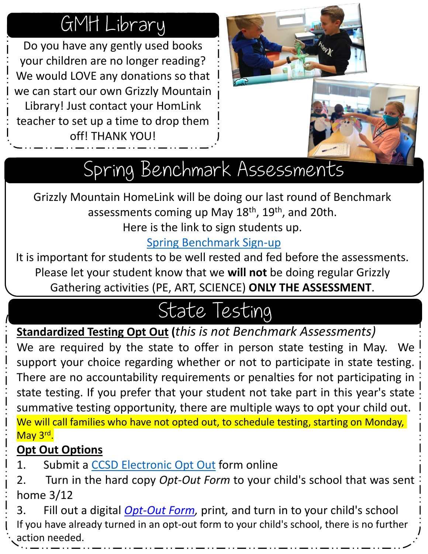## GMH Library

Do you have any gently used books your children are no longer reading? We would LOVE any donations so that we can start our own Grizzly Mountain Library! Just contact your HomLink teacher to set up a time to drop them off! THANK YOU!



# Spring Benchmark Assessments

Grizzly Mountain HomeLink will be doing our last round of Benchmark assessments coming up May 18<sup>th</sup>, 19<sup>th</sup>, and 20th.

Here is the link to sign students up.

### [Spring Benchmark Sign-up](https://www.signupgenius.com/go/10c0d4ba5af29a7fcc07-spring)

It is important for students to be well rested and fed before the assessments. Please let your student know that we **will not** be doing regular Grizzly Gathering activities (PE, ART, SCIENCE) **ONLY THE ASSESSMENT**.

## State Testing

**Standardized Testing Opt Out (***this is not Benchmark Assessments)*

We are required by the state to offer in person state testing in May. We support your choice regarding whether or not to participate in state testing. There are no accountability requirements or penalties for not participating in state testing. If you prefer that your student not take part in this year's state summative testing opportunity, there are multiple ways to opt your child out. We will call families who have not opted out, to schedule testing, starting on Monday, May 3rd.

### **Opt Out Options**

1. Submit a CCSD [Electronic](https://docs.google.com/forms/d/e/1FAIpQLSfNubu3PyQURxxOtqkUsUhC4frtD2KUGrRkKgU-Arq3F7ehuw/viewform?usp=sf_link) Opt Out form online

2. Turn in the hard copy *Opt-Out Form* to your child's school that was sent home 3/12

3. Fill out a digital *[Opt-Out](https://www.crookcountyschools.org/wp-content/uploads/sites/66/2021/03/Opt-Out_Form_Revised03_10_21_fillable-English.pdf) Form,* print*,* and turn in to your child's school If you have already turned in an opt-out form to your child's school, there is no further action needed.